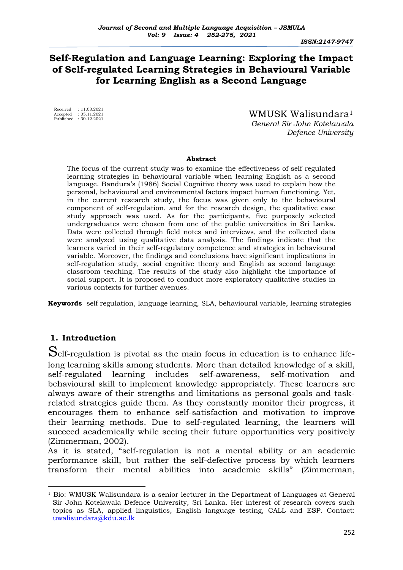*ISSN:2147-9747*

# **Self-Regulation and Language Learning: Exploring the Impact of Self-regulated Learning Strategies in Behavioural Variable for Learning English as a Second Language**

Received : 11.03.2021 Accepted : 05.11.2021 Published : 30.12.2021

 WMUSK Walisundara<sup>1</sup>  *General Sir John Kotelawala Defence University*

#### **Abstract**

The focus of the current study was to examine the effectiveness of self-regulated learning strategies in behavioural variable when learning English as a second language. Bandura's (1986) Social Cognitive theory was used to explain how the personal, behavioural and environmental factors impact human functioning. Yet, in the current research study, the focus was given only to the behavioural component of self-regulation, and for the research design, the qualitative case study approach was used. As for the participants, five purposely selected undergraduates were chosen from one of the public universities in Sri Lanka. Data were collected through field notes and interviews, and the collected data were analyzed using qualitative data analysis. The findings indicate that the learners varied in their self-regulatory competence and strategies in behavioural variable. Moreover, the findings and conclusions have significant implications in self-regulation study, social cognitive theory and English as second language classroom teaching. The results of the study also highlight the importance of social support. It is proposed to conduct more exploratory qualitative studies in various contexts for further avenues.

**Keywords** self regulation, language learning, SLA, behavioural variable, learning strategies

# **1. Introduction**

Self-regulation is pivotal as the main focus in education is to enhance lifelong learning skills among students. More than detailed knowledge of a skill, self-regulated learning includes self-awareness, self-motivation and behavioural skill to implement knowledge appropriately. These learners are always aware of their strengths and limitations as personal goals and taskrelated strategies guide them. As they constantly monitor their progress, it encourages them to enhance self-satisfaction and motivation to improve their learning methods. Due to self-regulated learning, the learners will succeed academically while seeing their future opportunities very positively (Zimmerman, 2002).

As it is stated, "self-regulation is not a mental ability or an academic performance skill, but rather the self-defective process by which learners transform their mental abilities into academic skills" (Zimmerman,

 $<sup>1</sup>$  Bio: WMUSK Walisundara is a senior lecturer in the Department of Languages at General</sup> Sir John Kotelawala Defence University, Sri Lanka. Her interest of research covers such topics as SLA, applied linguistics, English language testing, CALL and ESP. Contact: [uwalisundara@kdu.ac.lk](mailto:uwalisundara@kdu.ac.lk)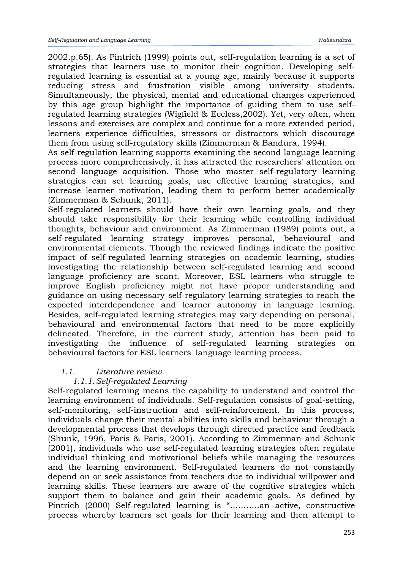2002.p.65). As Pintrich (1999) points out, self-regulation learning is a set of strategies that learners use to monitor their cognition. Developing selfregulated learning is essential at a young age, mainly because it supports reducing stress and frustration visible among university students. Simultaneously, the physical, mental and educational changes experienced by this age group highlight the importance of guiding them to use selfregulated learning strategies (Wigfield & Eccless,2002). Yet, very often, when lessons and exercises are complex and continue for a more extended period, learners experience difficulties, stressors or distractors which discourage them from using self-regulatory skills (Zimmerman & Bandura, 1994).

As self-regulation learning supports examining the second language learning process more comprehensively, it has attracted the researchers' attention on second language acquisition. Those who master self-regulatory learning strategies can set learning goals, use effective learning strategies, and increase learner motivation, leading them to perform better academically (Zimmerman & Schunk, 2011).

Self-regulated learners should have their own learning goals, and they should take responsibility for their learning while controlling individual thoughts, behaviour and environment. As Zimmerman (1989) points out, a self-regulated learning strategy improves personal, behavioural and environmental elements. Though the reviewed findings indicate the positive impact of self-regulated learning strategies on academic learning, studies investigating the relationship between self-regulated learning and second language proficiency are scant. Moreover, ESL learners who struggle to improve English proficiency might not have proper understanding and guidance on using necessary self-regulatory learning strategies to reach the expected interdependence and learner autonomy in language learning. Besides, self-regulated learning strategies may vary depending on personal, behavioural and environmental factors that need to be more explicitly delineated. Therefore, in the current study, attention has been paid to investigating the influence of self-regulated learning strategies on behavioural factors for ESL learners' language learning process.

# *1.1. Literature review*

# *1.1.1.Self-regulated Learning*

Self-regulated learning means the capability to understand and control the learning environment of individuals. Self-regulation consists of goal-setting, self-monitoring, self-instruction and self-reinforcement. In this process, individuals change their mental abilities into skills and behaviour through a developmental process that develops through directed practice and feedback (Shunk, 1996, Paris & Paris, 2001). According to Zimmerman and Schunk (2001), individuals who use self-regulated learning strategies often regulate individual thinking and motivational beliefs while managing the resources and the learning environment. Self-regulated learners do not constantly depend on or seek assistance from teachers due to individual willpower and learning skills. These learners are aware of the cognitive strategies which support them to balance and gain their academic goals. As defined by Pintrich (2000) Self-regulated learning is "...........an active, constructive process whereby learners set goals for their learning and then attempt to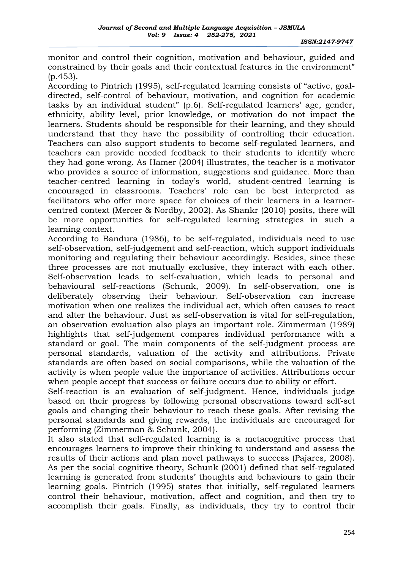monitor and control their cognition, motivation and behaviour, guided and constrained by their goals and their contextual features in the environment" (p.453).

According to Pintrich (1995), self-regulated learning consists of "active, goaldirected, self-control of behaviour, motivation, and cognition for academic tasks by an individual student" (p.6). Self-regulated learners' age, gender, ethnicity, ability level, prior knowledge, or motivation do not impact the learners. Students should be responsible for their learning, and they should understand that they have the possibility of controlling their education. Teachers can also support students to become self-regulated learners, and teachers can provide needed feedback to their students to identify where they had gone wrong. As Hamer (2004) illustrates, the teacher is a motivator who provides a source of information, suggestions and guidance. More than teacher-centred learning in today's world, student-centred learning is encouraged in classrooms. Teachers' role can be best interpreted as facilitators who offer more space for choices of their learners in a learnercentred context (Mercer & Nordby, 2002). As Shankr (2010) posits, there will be more opportunities for self-regulated learning strategies in such a learning context.

According to Bandura (1986), to be self-regulated, individuals need to use self-observation, self-judgement and self-reaction, which support individuals monitoring and regulating their behaviour accordingly. Besides, since these three processes are not mutually exclusive, they interact with each other. Self-observation leads to self-evaluation, which leads to personal and behavioural self-reactions (Schunk, 2009). In self-observation, one is deliberately observing their behaviour. Self-observation can increase motivation when one realizes the individual act, which often causes to react and alter the behaviour. Just as self-observation is vital for self-regulation, an observation evaluation also plays an important role. Zimmerman (1989) highlights that self-judgement compares individual performance with a standard or goal. The main components of the self-judgment process are personal standards, valuation of the activity and attributions. Private standards are often based on social comparisons, while the valuation of the activity is when people value the importance of activities. Attributions occur when people accept that success or failure occurs due to ability or effort.

Self-reaction is an evaluation of self-judgment. Hence, individuals judge based on their progress by following personal observations toward self-set goals and changing their behaviour to reach these goals. After revising the personal standards and giving rewards, the individuals are encouraged for performing (Zimmerman & Schunk, 2004).

It also stated that self-regulated learning is a metacognitive process that encourages learners to improve their thinking to understand and assess the results of their actions and plan novel pathways to success (Pajares, 2008). As per the social cognitive theory, Schunk (2001) defined that self-regulated learning is generated from students' thoughts and behaviours to gain their learning goals. Pintrich (1995) states that initially, self-regulated learners control their behaviour, motivation, affect and cognition, and then try to accomplish their goals. Finally, as individuals, they try to control their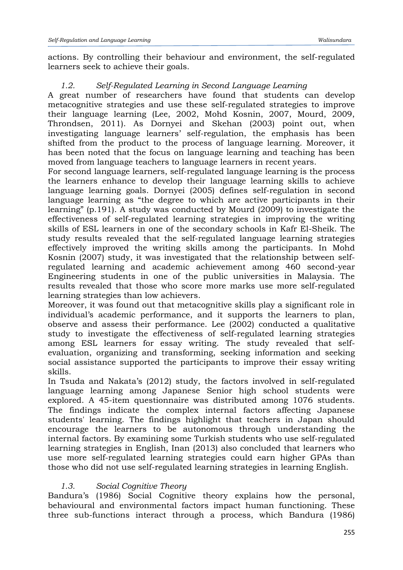actions. By controlling their behaviour and environment, the self-regulated learners seek to achieve their goals.

# *1.2. Self-Regulated Learning in Second Language Learning*

A great number of researchers have found that students can develop metacognitive strategies and use these self-regulated strategies to improve their language learning (Lee, 2002, Mohd Kosnin, 2007, Mourd, 2009, Throndsen, 2011). As Dornyei and Skehan (2003) point out, when investigating language learners' self-regulation, the emphasis has been shifted from the product to the process of language learning. Moreover, it has been noted that the focus on language learning and teaching has been moved from language teachers to language learners in recent years.

For second language learners, self-regulated language learning is the process the learners enhance to develop their language learning skills to achieve language learning goals. Dornyei (2005) defines self-regulation in second language learning as "the degree to which are active participants in their learning" (p.191). A study was conducted by Mourd (2009) to investigate the effectiveness of self-regulated learning strategies in improving the writing skills of ESL learners in one of the secondary schools in Kafr El-Sheik. The study results revealed that the self-regulated language learning strategies effectively improved the writing skills among the participants. In Mohd Kosnin (2007) study, it was investigated that the relationship between selfregulated learning and academic achievement among 460 second-year Engineering students in one of the public universities in Malaysia. The results revealed that those who score more marks use more self-regulated learning strategies than low achievers.

Moreover, it was found out that metacognitive skills play a significant role in individual's academic performance, and it supports the learners to plan, observe and assess their performance. Lee (2002) conducted a qualitative study to investigate the effectiveness of self-regulated learning strategies among ESL learners for essay writing. The study revealed that selfevaluation, organizing and transforming, seeking information and seeking social assistance supported the participants to improve their essay writing skills.

In Tsuda and Nakata's (2012) study, the factors involved in self-regulated language learning among Japanese Senior high school students were explored. A 45-item questionnaire was distributed among 1076 students. The findings indicate the complex internal factors affecting Japanese students' learning. The findings highlight that teachers in Japan should encourage the learners to be autonomous through understanding the internal factors. By examining some Turkish students who use self-regulated learning strategies in English, Inan (2013) also concluded that learners who use more self-regulated learning strategies could earn higher GPAs than those who did not use self-regulated learning strategies in learning English.

# *1.3. Social Cognitive Theory*

Bandura's (1986) Social Cognitive theory explains how the personal, behavioural and environmental factors impact human functioning. These three sub-functions interact through a process, which Bandura (1986)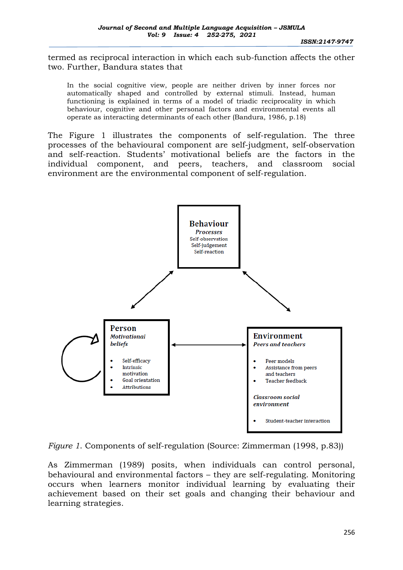termed as reciprocal interaction in which each sub-function affects the other two. Further, Bandura states that

In the social cognitive view, people are neither driven by inner forces nor automatically shaped and controlled by external stimuli. Instead, human functioning is explained in terms of a model of triadic reciprocality in which behaviour, cognitive and other personal factors and environmental events all operate as interacting determinants of each other (Bandura, 1986, p.18)

The Figure 1 illustrates the components of self-regulation. The three processes of the behavioural component are self-judgment, self-observation and self-reaction. Students' motivational beliefs are the factors in the individual component, and peers, teachers, and classroom social environment are the environmental component of self-regulation.



*Figure 1*. Components of self-regulation (Source: Zimmerman (1998, p.83))

As Zimmerman (1989) posits, when individuals can control personal, behavioural and environmental factors – they are self-regulating. Monitoring occurs when learners monitor individual learning by evaluating their achievement based on their set goals and changing their behaviour and learning strategies.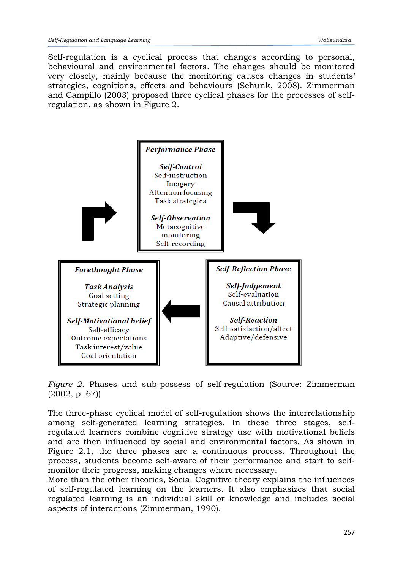Self-regulation is a cyclical process that changes according to personal, behavioural and environmental factors. The changes should be monitored very closely, mainly because the monitoring causes changes in students' strategies, cognitions, effects and behaviours (Schunk, 2008). Zimmerman and Campillo (2003) proposed three cyclical phases for the processes of selfregulation, as shown in Figure 2.



*Figure 2*. Phases and sub-possess of self-regulation (Source: Zimmerman (2002, p. 67))

The three-phase cyclical model of self-regulation shows the interrelationship among self-generated learning strategies. In these three stages, selfregulated learners combine cognitive strategy use with motivational beliefs and are then influenced by social and environmental factors. As shown in Figure 2.1, the three phases are a continuous process. Throughout the process, students become self-aware of their performance and start to selfmonitor their progress, making changes where necessary.

More than the other theories, Social Cognitive theory explains the influences of self-regulated learning on the learners. It also emphasizes that social regulated learning is an individual skill or knowledge and includes social aspects of interactions (Zimmerman, 1990).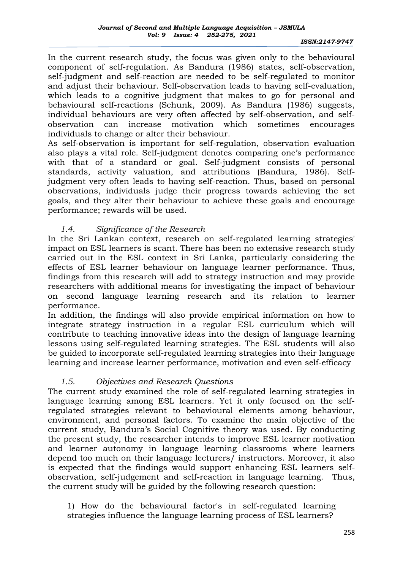In the current research study, the focus was given only to the behavioural component of self-regulation. As Bandura (1986) states, self-observation, self-judgment and self-reaction are needed to be self-regulated to monitor and adjust their behaviour. Self-observation leads to having self-evaluation, which leads to a cognitive judgment that makes to go for personal and behavioural self-reactions (Schunk, 2009). As Bandura (1986) suggests, individual behaviours are very often affected by self-observation, and selfobservation can increase motivation which sometimes encourages individuals to change or alter their behaviour.

As self-observation is important for self-regulation, observation evaluation also plays a vital role. Self-judgment denotes comparing one's performance with that of a standard or goal. Self-judgment consists of personal standards, activity valuation, and attributions (Bandura, 1986). Selfjudgment very often leads to having self-reaction. Thus, based on personal observations, individuals judge their progress towards achieving the set goals, and they alter their behaviour to achieve these goals and encourage performance; rewards will be used.

## *1.4. Significance of the Research*

In the Sri Lankan context, research on self-regulated learning strategies' impact on ESL learners is scant. There has been no extensive research study carried out in the ESL context in Sri Lanka, particularly considering the effects of ESL learner behaviour on language learner performance. Thus, findings from this research will add to strategy instruction and may provide researchers with additional means for investigating the impact of behaviour on second language learning research and its relation to learner performance.

In addition, the findings will also provide empirical information on how to integrate strategy instruction in a regular ESL curriculum which will contribute to teaching innovative ideas into the design of language learning lessons using self-regulated learning strategies. The ESL students will also be guided to incorporate self-regulated learning strategies into their language learning and increase learner performance, motivation and even self-efficacy

### *1.5. Objectives and Research Questions*

The current study examined the role of self-regulated learning strategies in language learning among ESL learners. Yet it only focused on the selfregulated strategies relevant to behavioural elements among behaviour, environment, and personal factors. To examine the main objective of the current study, Bandura's Social Cognitive theory was used. By conducting the present study, the researcher intends to improve ESL learner motivation and learner autonomy in language learning classrooms where learners depend too much on their language lecturers/ instructors. Moreover, it also is expected that the findings would support enhancing ESL learners selfobservation, self-judgement and self-reaction in language learning. Thus, the current study will be guided by the following research question:

1) How do the behavioural factor's in self-regulated learning strategies influence the language learning process of ESL learners?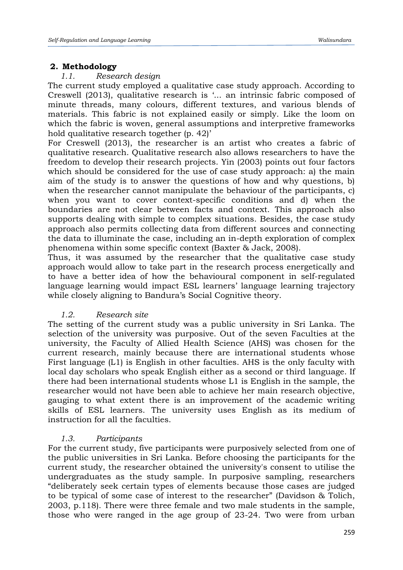# **2. Methodology**

## *1.1. Research design*

The current study employed a qualitative case study approach. According to Creswell (2013), qualitative research is '... an intrinsic fabric composed of minute threads, many colours, different textures, and various blends of materials. This fabric is not explained easily or simply. Like the loom on which the fabric is woven, general assumptions and interpretive frameworks hold qualitative research together (p. 42)'

For Creswell (2013), the researcher is an artist who creates a fabric of qualitative research. Qualitative research also allows researchers to have the freedom to develop their research projects. Yin (2003) points out four factors which should be considered for the use of case study approach: a) the main aim of the study is to answer the questions of how and why questions, b) when the researcher cannot manipulate the behaviour of the participants, c) when you want to cover context-specific conditions and d) when the boundaries are not clear between facts and context. This approach also supports dealing with simple to complex situations. Besides, the case study approach also permits collecting data from different sources and connecting the data to illuminate the case, including an in-depth exploration of complex phenomena within some specific context (Baxter & Jack, 2008).

Thus, it was assumed by the researcher that the qualitative case study approach would allow to take part in the research process energetically and to have a better idea of how the behavioural component in self-regulated language learning would impact ESL learners' language learning trajectory while closely aligning to Bandura's Social Cognitive theory.

# *1.2. Research site*

The setting of the current study was a public university in Sri Lanka. The selection of the university was purposive. Out of the seven Faculties at the university, the Faculty of Allied Health Science (AHS) was chosen for the current research, mainly because there are international students whose First language (L1) is English in other faculties. AHS is the only faculty with local day scholars who speak English either as a second or third language. If there had been international students whose L1 is English in the sample, the researcher would not have been able to achieve her main research objective, gauging to what extent there is an improvement of the academic writing skills of ESL learners. The university uses English as its medium of instruction for all the faculties.

### *1.3. Participants*

For the current study, five participants were purposively selected from one of the public universities in Sri Lanka. Before choosing the participants for the current study, the researcher obtained the university's consent to utilise the undergraduates as the study sample. In purposive sampling, researchers "deliberately seek certain types of elements because those cases are judged to be typical of some case of interest to the researcher" (Davidson & Tolich, 2003, p.118). There were three female and two male students in the sample, those who were ranged in the age group of 23-24. Two were from urban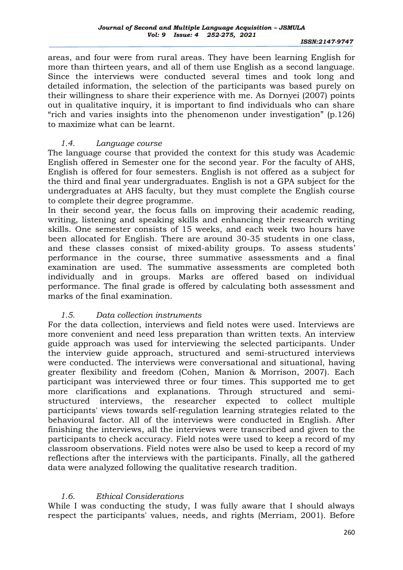areas, and four were from rural areas. They have been learning English for more than thirteen years, and all of them use English as a second language. Since the interviews were conducted several times and took long and detailed information, the selection of the participants was based purely on their willingness to share their experience with me. As Dornyei (2007) points out in qualitative inquiry, it is important to find individuals who can share "rich and varies insights into the phenomenon under investigation" (p.126) to maximize what can be learnt.

### *1.4. Language course*

The language course that provided the context for this study was Academic English offered in Semester one for the second year. For the faculty of AHS, English is offered for four semesters. English is not offered as a subject for the third and final year undergraduates. English is not a GPA subject for the undergraduates at AHS faculty, but they must complete the English course to complete their degree programme.

In their second year, the focus falls on improving their academic reading, writing, listening and speaking skills and enhancing their research writing skills. One semester consists of 15 weeks, and each week two hours have been allocated for English. There are around 30-35 students in one class, and these classes consist of mixed-ability groups. To assess students' performance in the course, three summative assessments and a final examination are used. The summative assessments are completed both individually and in groups. Marks are offered based on individual performance. The final grade is offered by calculating both assessment and marks of the final examination.

### *1.5. Data collection instruments*

For the data collection, interviews and field notes were used. Interviews are more convenient and need less preparation than written texts. An interview guide approach was used for interviewing the selected participants. Under the interview guide approach, structured and semi-structured interviews were conducted. The interviews were conversational and situational, having greater flexibility and freedom (Cohen, Manion & Morrison, 2007). Each participant was interviewed three or four times. This supported me to get more clarifications and explanations. Through structured and semistructured interviews, the researcher expected to collect multiple participants' views towards self-regulation learning strategies related to the behavioural factor. All of the interviews were conducted in English. After finishing the interviews, all the interviews were transcribed and given to the participants to check accuracy. Field notes were used to keep a record of my classroom observations. Field notes were also be used to keep a record of my reflections after the interviews with the participants. Finally, all the gathered data were analyzed following the qualitative research tradition.

### *1.6. Ethical Considerations*

While I was conducting the study, I was fully aware that I should always respect the participants' values, needs, and rights (Merriam, 2001). Before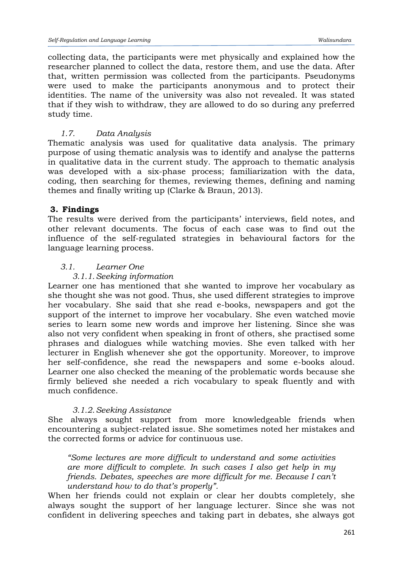collecting data, the participants were met physically and explained how the researcher planned to collect the data, restore them, and use the data. After that, written permission was collected from the participants. Pseudonyms were used to make the participants anonymous and to protect their identities. The name of the university was also not revealed. It was stated that if they wish to withdraw, they are allowed to do so during any preferred study time.

# *1.7. Data Analysis*

Thematic analysis was used for qualitative data analysis. The primary purpose of using thematic analysis was to identify and analyse the patterns in qualitative data in the current study. The approach to thematic analysis was developed with a six-phase process; familiarization with the data, coding, then searching for themes, reviewing themes, defining and naming themes and finally writing up (Clarke & Braun, 2013).

# **3. Findings**

The results were derived from the participants' interviews, field notes, and other relevant documents. The focus of each case was to find out the influence of the self-regulated strategies in behavioural factors for the language learning process.

## *3.1. Learner One*

## *3.1.1.Seeking information*

Learner one has mentioned that she wanted to improve her vocabulary as she thought she was not good. Thus, she used different strategies to improve her vocabulary. She said that she read e-books, newspapers and got the support of the internet to improve her vocabulary. She even watched movie series to learn some new words and improve her listening. Since she was also not very confident when speaking in front of others, she practised some phrases and dialogues while watching movies. She even talked with her lecturer in English whenever she got the opportunity. Moreover, to improve her self-confidence, she read the newspapers and some e-books aloud. Learner one also checked the meaning of the problematic words because she firmly believed she needed a rich vocabulary to speak fluently and with much confidence.

### *3.1.2.Seeking Assistance*

She always sought support from more knowledgeable friends when encountering a subject-related issue. She sometimes noted her mistakes and the corrected forms or advice for continuous use.

*"Some lectures are more difficult to understand and some activities are more difficult to complete. In such cases I also get help in my friends. Debates, speeches are more difficult for me. Because I can't understand how to do that's properly".*

When her friends could not explain or clear her doubts completely, she always sought the support of her language lecturer. Since she was not confident in delivering speeches and taking part in debates, she always got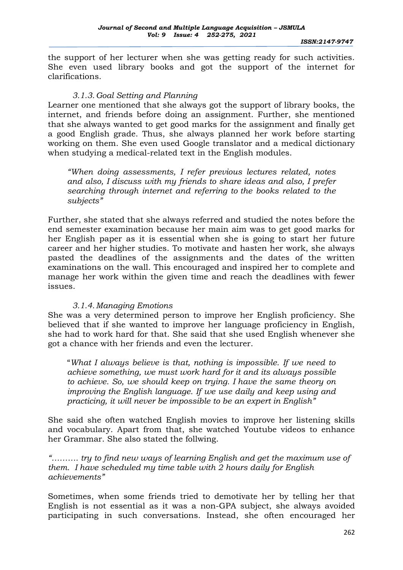the support of her lecturer when she was getting ready for such activities. She even used library books and got the support of the internet for clarifications.

## *3.1.3.Goal Setting and Planning*

Learner one mentioned that she always got the support of library books, the internet, and friends before doing an assignment. Further, she mentioned that she always wanted to get good marks for the assignment and finally get a good English grade. Thus, she always planned her work before starting working on them. She even used Google translator and a medical dictionary when studying a medical-related text in the English modules.

*"When doing assessments, I refer previous lectures related, notes and also, I discuss with my friends to share ideas and also, I prefer searching through internet and referring to the books related to the subjects"*

Further, she stated that she always referred and studied the notes before the end semester examination because her main aim was to get good marks for her English paper as it is essential when she is going to start her future career and her higher studies. To motivate and hasten her work, she always pasted the deadlines of the assignments and the dates of the written examinations on the wall. This encouraged and inspired her to complete and manage her work within the given time and reach the deadlines with fewer issues.

# *3.1.4.Managing Emotions*

She was a very determined person to improve her English proficiency. She believed that if she wanted to improve her language proficiency in English, she had to work hard for that. She said that she used English whenever she got a chance with her friends and even the lecturer.

"*What I always believe is that, nothing is impossible. If we need to achieve something, we must work hard for it and its always possible to achieve. So, we should keep on trying. I have the same theory on improving the English language. If we use daily and keep using and practicing, it will never be impossible to be an expert in English"*

She said she often watched English movies to improve her listening skills and vocabulary. Apart from that, she watched Youtube videos to enhance her Grammar. She also stated the follwing.

*"………. try to find new ways of learning English and get the maximum use of them. I have scheduled my time table with 2 hours daily for English achievements"*

Sometimes, when some friends tried to demotivate her by telling her that English is not essential as it was a non-GPA subject, she always avoided participating in such conversations. Instead, she often encouraged her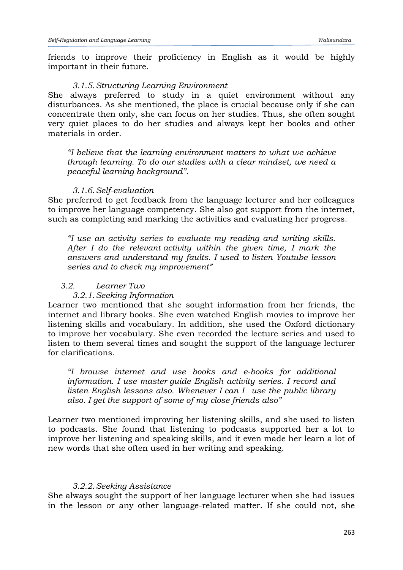friends to improve their proficiency in English as it would be highly important in their future.

#### *3.1.5.Structuring Learning Environment*

She always preferred to study in a quiet environment without any disturbances. As she mentioned, the place is crucial because only if she can concentrate then only, she can focus on her studies. Thus, she often sought very quiet places to do her studies and always kept her books and other materials in order.

*"I believe that the learning environment matters to what we achieve through learning. To do our studies with a clear mindset, we need a peaceful learning background".*

#### *3.1.6.Self-evaluation*

She preferred to get feedback from the language lecturer and her colleagues to improve her language competency. She also got support from the internet, such as completing and marking the activities and evaluating her progress.

*"I use an activity series to evaluate my reading and writing skills. After I do the relevant activity within the given time, I mark the answers and understand my faults. I used to listen Youtube lesson series and to check my improvement"*

### *3.2. Learner Two*

#### *3.2.1.Seeking Information*

Learner two mentioned that she sought information from her friends, the internet and library books. She even watched English movies to improve her listening skills and vocabulary. In addition, she used the Oxford dictionary to improve her vocabulary. She even recorded the lecture series and used to listen to them several times and sought the support of the language lecturer for clarifications.

*"I browse internet and use books and e-books for additional information. I use master guide English activity series. I record and listen English lessons also. Whenever I can I use the public library also. I get the support of some of my close friends also"*

Learner two mentioned improving her listening skills, and she used to listen to podcasts. She found that listening to podcasts supported her a lot to improve her listening and speaking skills, and it even made her learn a lot of new words that she often used in her writing and speaking.

#### *3.2.2.Seeking Assistance*

She always sought the support of her language lecturer when she had issues in the lesson or any other language-related matter. If she could not, she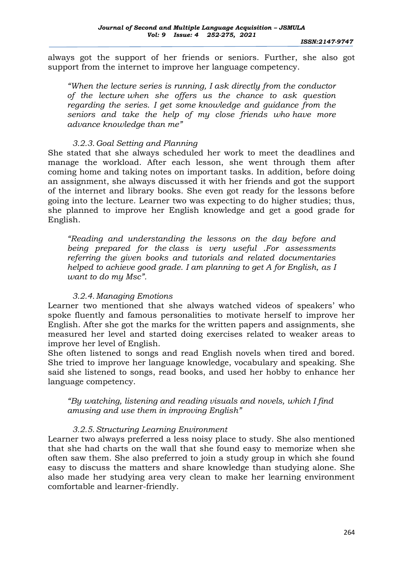*ISSN:2147-9747*

 always got the support of her friends or seniors. Further, she also got support from the internet to improve her language competency.

*"When the lecture series is running, I ask directly from the conductor of the lecture when she offers us the chance to ask question regarding the series. I get some knowledge and guidance from the seniors and take the help of my close friends who have more advance knowledge than me"*

# *3.2.3.Goal Setting and Planning*

She stated that she always scheduled her work to meet the deadlines and manage the workload. After each lesson, she went through them after coming home and taking notes on important tasks. In addition, before doing an assignment, she always discussed it with her friends and got the support of the internet and library books. She even got ready for the lessons before going into the lecture. Learner two was expecting to do higher studies; thus, she planned to improve her English knowledge and get a good grade for English.

*"Reading and understanding the lessons on the day before and being prepared for the class is very useful .For assessments referring the given books and tutorials and related documentaries helped to achieve good grade. I am planning to get A for English, as I want to do my Msc".*

# *3.2.4.Managing Emotions*

Learner two mentioned that she always watched videos of speakers' who spoke fluently and famous personalities to motivate herself to improve her English. After she got the marks for the written papers and assignments, she measured her level and started doing exercises related to weaker areas to improve her level of English.

She often listened to songs and read English novels when tired and bored. She tried to improve her language knowledge, vocabulary and speaking. She said she listened to songs, read books, and used her hobby to enhance her language competency.

*"By watching, listening and reading visuals and novels, which I find amusing and use them in improving English"*

# *3.2.5.Structuring Learning Environment*

Learner two always preferred a less noisy place to study. She also mentioned that she had charts on the wall that she found easy to memorize when she often saw them. She also preferred to join a study group in which she found easy to discuss the matters and share knowledge than studying alone. She also made her studying area very clean to make her learning environment comfortable and learner-friendly.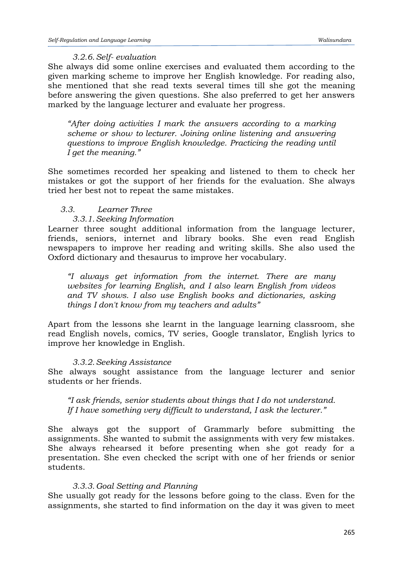#### *3.2.6.Self- evaluation*

She always did some online exercises and evaluated them according to the given marking scheme to improve her English knowledge. For reading also, she mentioned that she read texts several times till she got the meaning before answering the given questions. She also preferred to get her answers marked by the language lecturer and evaluate her progress.

*"After doing activities I mark the answers according to a marking scheme or show to lecturer. Joining online listening and answering questions to improve English knowledge. Practicing the reading until I get the meaning."*

She sometimes recorded her speaking and listened to them to check her mistakes or got the support of her friends for the evaluation. She always tried her best not to repeat the same mistakes.

### *3.3. Learner Three*

#### *3.3.1.Seeking Information*

Learner three sought additional information from the language lecturer, friends, seniors, internet and library books. She even read English newspapers to improve her reading and writing skills. She also used the Oxford dictionary and thesaurus to improve her vocabulary.

*"I always get information from the internet. There are many websites for learning English, and I also learn English from videos and TV shows. I also use English books and dictionaries, asking things I don't know from my teachers and adults"*

Apart from the lessons she learnt in the language learning classroom, she read English novels, comics, TV series, Google translator, English lyrics to improve her knowledge in English.

### *3.3.2.Seeking Assistance*

She always sought assistance from the language lecturer and senior students or her friends.

*"I ask friends, senior students about things that I do not understand. If I have something very difficult to understand, I ask the lecturer."*

She always got the support of Grammarly before submitting the assignments. She wanted to submit the assignments with very few mistakes. She always rehearsed it before presenting when she got ready for a presentation. She even checked the script with one of her friends or senior students.

### *3.3.3.Goal Setting and Planning*

She usually got ready for the lessons before going to the class. Even for the assignments, she started to find information on the day it was given to meet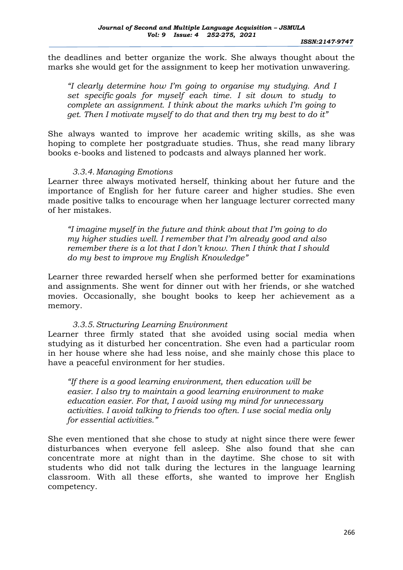*ISSN:2147-9747*

 the deadlines and better organize the work. She always thought about the marks she would get for the assignment to keep her motivation unwavering.

*"I clearly determine how I'm going to organise my studying. And I set specific goals for myself each time. I sit down to study to complete an assignment. I think about the marks which I'm going to get. Then I motivate myself to do that and then try my best to do it"*

She always wanted to improve her academic writing skills, as she was hoping to complete her postgraduate studies. Thus, she read many library books e-books and listened to podcasts and always planned her work.

### *3.3.4.Managing Emotions*

Learner three always motivated herself, thinking about her future and the importance of English for her future career and higher studies. She even made positive talks to encourage when her language lecturer corrected many of her mistakes.

*"I imagine myself in the future and think about that I'm going to do my higher studies well. I remember that I'm already good and also remember there is a lot that I don't know. Then I think that I should do my best to improve my English Knowledge"*

Learner three rewarded herself when she performed better for examinations and assignments. She went for dinner out with her friends, or she watched movies. Occasionally, she bought books to keep her achievement as a memory.

# *3.3.5.Structuring Learning Environment*

Learner three firmly stated that she avoided using social media when studying as it disturbed her concentration. She even had a particular room in her house where she had less noise, and she mainly chose this place to have a peaceful environment for her studies.

*"If there is a good learning environment, then education will be easier. I also try to maintain a good learning environment to make education easier. For that, I avoid using my mind for unnecessary activities. I avoid talking to friends too often. I use social media only for essential activities."*

She even mentioned that she chose to study at night since there were fewer disturbances when everyone fell asleep. She also found that she can concentrate more at night than in the daytime. She chose to sit with students who did not talk during the lectures in the language learning classroom. With all these efforts, she wanted to improve her English competency.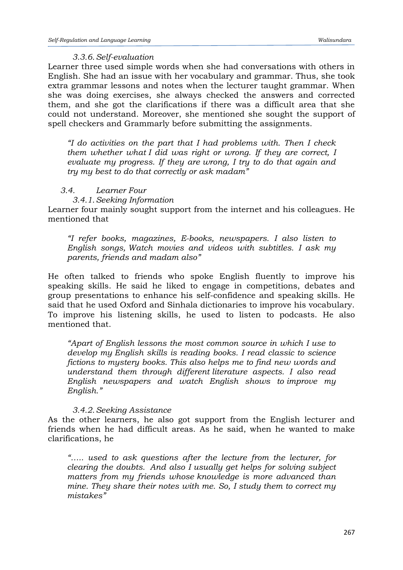#### *3.3.6.Self-evaluation*

Learner three used simple words when she had conversations with others in English. She had an issue with her vocabulary and grammar. Thus, she took extra grammar lessons and notes when the lecturer taught grammar. When she was doing exercises, she always checked the answers and corrected them, and she got the clarifications if there was a difficult area that she could not understand. Moreover, she mentioned she sought the support of spell checkers and Grammarly before submitting the assignments.

*"I do activities on the part that I had problems with. Then I check them whether what I did was right or wrong. If they are correct, I evaluate my progress. If they are wrong, I try to do that again and try my best to do that correctly or ask madam"*

### *3.4. Learner Four*

*3.4.1.Seeking Information*

Learner four mainly sought support from the internet and his colleagues. He mentioned that

*"I refer books, magazines, E-books, newspapers. I also listen to English songs, Watch movies and videos with subtitles. I ask my parents, friends and madam also"*

He often talked to friends who spoke English fluently to improve his speaking skills. He said he liked to engage in competitions, debates and group presentations to enhance his self-confidence and speaking skills. He said that he used Oxford and Sinhala dictionaries to improve his vocabulary. To improve his listening skills, he used to listen to podcasts. He also mentioned that.

*"Apart of English lessons the most common source in which I use to develop my English skills is reading books. I read classic to science fictions to mystery books. This also helps me to find new words and understand them through different literature aspects. I also read English newspapers and watch English shows to improve my English."*

### *3.4.2.Seeking Assistance*

As the other learners, he also got support from the English lecturer and friends when he had difficult areas. As he said, when he wanted to make clarifications, he

*"….. used to ask questions after the lecture from the lecturer, for clearing the doubts. And also I usually get helps for solving subject matters from my friends whose knowledge is more advanced than mine. They share their notes with me. So, I study them to correct my mistakes"*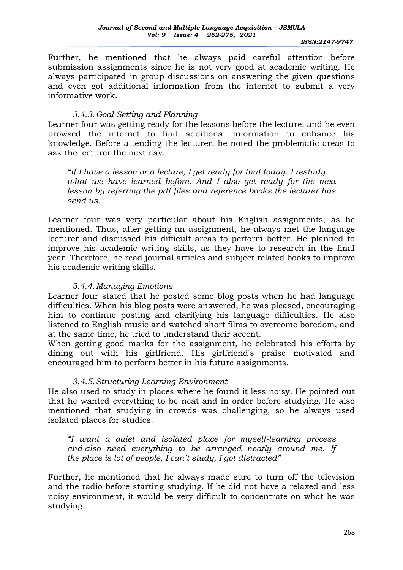*ISSN:2147-9747*

 Further, he mentioned that he always paid careful attention before submission assignments since he is not very good at academic writing. He always participated in group discussions on answering the given questions and even got additional information from the internet to submit a very informative work.

# *3.4.3.Goal Setting and Planning*

Learner four was getting ready for the lessons before the lecture, and he even browsed the internet to find additional information to enhance his knowledge. Before attending the lecturer, he noted the problematic areas to ask the lecturer the next day.

*"If I have a lesson or a lecture, I get ready for that today. I restudy what we have learned before. And I also get ready for the next lesson by referring the pdf files and reference books the lecturer has send us."*

Learner four was very particular about his English assignments, as he mentioned. Thus, after getting an assignment, he always met the language lecturer and discussed his difficult areas to perform better. He planned to improve his academic writing skills, as they have to research in the final year. Therefore, he read journal articles and subject related books to improve his academic writing skills.

# *3.4.4.Managing Emotions*

Learner four stated that he posted some blog posts when he had language difficulties. When his blog posts were answered, he was pleased, encouraging him to continue posting and clarifying his language difficulties. He also listened to English music and watched short films to overcome boredom, and at the same time, he tried to understand their accent.

When getting good marks for the assignment, he celebrated his efforts by dining out with his girlfriend. His girlfriend's praise motivated and encouraged him to perform better in his future assignments.

# *3.4.5.Structuring Learning Environment*

He also used to study in places where he found it less noisy. He pointed out that he wanted everything to be neat and in order before studying. He also mentioned that studying in crowds was challenging, so he always used isolated places for studies.

*"I want a quiet and isolated place for myself-learning process and also need everything to be arranged neatly around me. If the place is lot of people, I can't study, I got distracted"*

Further, he mentioned that he always made sure to turn off the television and the radio before starting studying. If he did not have a relaxed and less noisy environment, it would be very difficult to concentrate on what he was studying.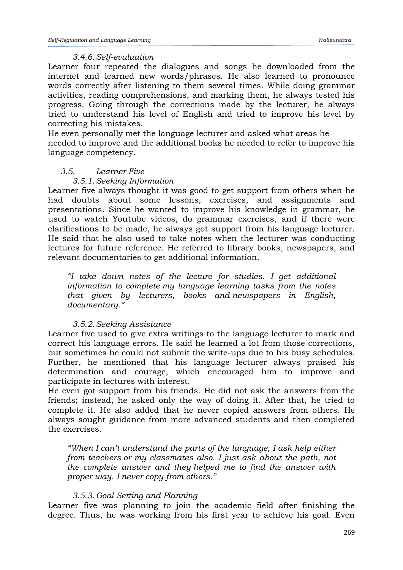### *3.4.6.Self-evaluation*

Learner four repeated the dialogues and songs he downloaded from the internet and learned new words/phrases. He also learned to pronounce words correctly after listening to them several times. While doing grammar activities, reading comprehensions, and marking them, he always tested his progress. Going through the corrections made by the lecturer, he always tried to understand his level of English and tried to improve his level by correcting his mistakes.

He even personally met the language lecturer and asked what areas he needed to improve and the additional books he needed to refer to improve his language competency.

## *3.5. Learner Five*

# *3.5.1.Seeking Information*

Learner five always thought it was good to get support from others when he had doubts about some lessons, exercises, and assignments and presentations. Since he wanted to improve his knowledge in grammar, he used to watch Youtube videos, do grammar exercises, and if there were clarifications to be made, he always got support from his language lecturer. He said that he also used to take notes when the lecturer was conducting lectures for future reference. He referred to library books, newspapers, and relevant documentaries to get additional information.

*"I take down notes of the lecture for studies. I get additional information to complete my language learning tasks from the notes that given by lecturers, books and newspapers in English, documentary."*

### *3.5.2.Seeking Assistance*

Learner five used to give extra writings to the language lecturer to mark and correct his language errors. He said he learned a lot from those corrections, but sometimes he could not submit the write-ups due to his busy schedules. Further, he mentioned that his language lecturer always praised his determination and courage, which encouraged him to improve and participate in lectures with interest.

He even got support from his friends. He did not ask the answers from the friends; instead, he asked only the way of doing it. After that, he tried to complete it. He also added that he never copied answers from others. He always sought guidance from more advanced students and then completed the exercises.

*"When I can't understand the parts of the language, I ask help either from teachers or my classmates also. I just ask about the path, not the complete answer and they helped me to find the answer with proper way. I never copy from others."*

# *3.5.3.Goal Setting and Planning*

Learner five was planning to join the academic field after finishing the degree. Thus, he was working from his first year to achieve his goal. Even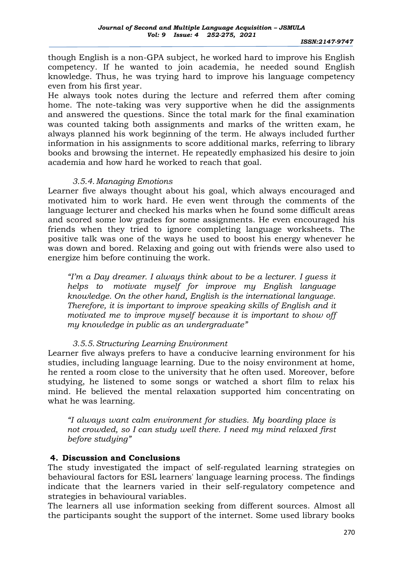though English is a non-GPA subject, he worked hard to improve his English competency. If he wanted to join academia, he needed sound English knowledge. Thus, he was trying hard to improve his language competency even from his first year.

He always took notes during the lecture and referred them after coming home. The note-taking was very supportive when he did the assignments and answered the questions. Since the total mark for the final examination was counted taking both assignments and marks of the written exam, he always planned his work beginning of the term. He always included further information in his assignments to score additional marks, referring to library books and browsing the internet. He repeatedly emphasized his desire to join academia and how hard he worked to reach that goal.

#### *3.5.4.Managing Emotions*

Learner five always thought about his goal, which always encouraged and motivated him to work hard. He even went through the comments of the language lecturer and checked his marks when he found some difficult areas and scored some low grades for some assignments. He even encouraged his friends when they tried to ignore completing language worksheets. The positive talk was one of the ways he used to boost his energy whenever he was down and bored. Relaxing and going out with friends were also used to energize him before continuing the work.

*"I'm a Day dreamer. I always think about to be a lecturer. I guess it helps to motivate myself for improve my English language knowledge. On the other hand, English is the international language. Therefore, it is important to improve speaking skills of English and it motivated me to improve myself because it is important to show off my knowledge in public as an undergraduate"*

### *3.5.5.Structuring Learning Environment*

Learner five always prefers to have a conducive learning environment for his studies, including language learning. Due to the noisy environment at home, he rented a room close to the university that he often used. Moreover, before studying, he listened to some songs or watched a short film to relax his mind. He believed the mental relaxation supported him concentrating on what he was learning.

*"I always want calm environment for studies. My boarding place is not crowded, so I can study well there. I need my mind relaxed first before studying"*

### **4. Discussion and Conclusions**

The study investigated the impact of self-regulated learning strategies on behavioural factors for ESL learners' language learning process. The findings indicate that the learners varied in their self-regulatory competence and strategies in behavioural variables.

The learners all use information seeking from different sources. Almost all the participants sought the support of the internet. Some used library books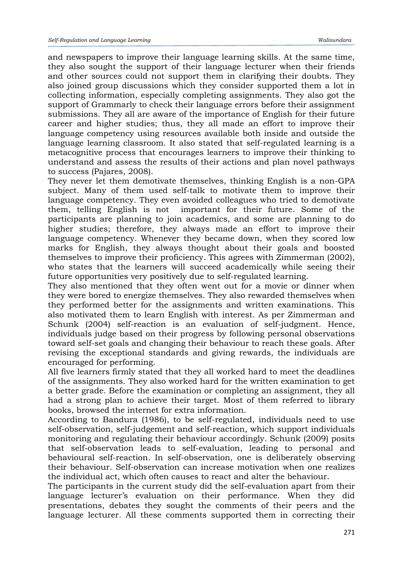and newspapers to improve their language learning skills. At the same time, they also sought the support of their language lecturer when their friends and other sources could not support them in clarifying their doubts. They also joined group discussions which they consider supported them a lot in collecting information, especially completing assignments. They also got the support of Grammarly to check their language errors before their assignment submissions. They all are aware of the importance of English for their future career and higher studies; thus, they all made an effort to improve their language competency using resources available both inside and outside the language learning classroom. It also stated that self-regulated learning is a metacognitive process that encourages learners to improve their thinking to understand and assess the results of their actions and plan novel pathways to success (Pajares, 2008).

They never let them demotivate themselves, thinking English is a non-GPA subject. Many of them used self-talk to motivate them to improve their language competency. They even avoided colleagues who tried to demotivate them, telling English is not important for their future. Some of the participants are planning to join academics, and some are planning to do higher studies; therefore, they always made an effort to improve their language competency. Whenever they became down, when they scored low marks for English, they always thought about their goals and boosted themselves to improve their proficiency. This agrees with Zimmerman (2002), who states that the learners will succeed academically while seeing their future opportunities very positively due to self-regulated learning.

They also mentioned that they often went out for a movie or dinner when they were bored to energize themselves. They also rewarded themselves when they performed better for the assignments and written examinations. This also motivated them to learn English with interest. As per Zimmerman and Schunk (2004) self-reaction is an evaluation of self-judgment. Hence, individuals judge based on their progress by following personal observations toward self-set goals and changing their behaviour to reach these goals. After revising the exceptional standards and giving rewards, the individuals are encouraged for performing.

All five learners firmly stated that they all worked hard to meet the deadlines of the assignments. They also worked hard for the written examination to get a better grade. Before the examination or completing an assignment, they all had a strong plan to achieve their target. Most of them referred to library books, browsed the internet for extra information.

According to Bandura (1986), to be self-regulated, individuals need to use self-observation, self-judgement and self-reaction, which support individuals monitoring and regulating their behaviour accordingly. Schunk (2009) posits that self-observation leads to self-evaluation, leading to personal and behavioural self-reaction. In self-observation, one is deliberately observing their behaviour. Self-observation can increase motivation when one realizes the individual act, which often causes to react and alter the behaviour.

The participants in the current study did the self-evaluation apart from their language lecturer's evaluation on their performance. When they did presentations, debates they sought the comments of their peers and the language lecturer. All these comments supported them in correcting their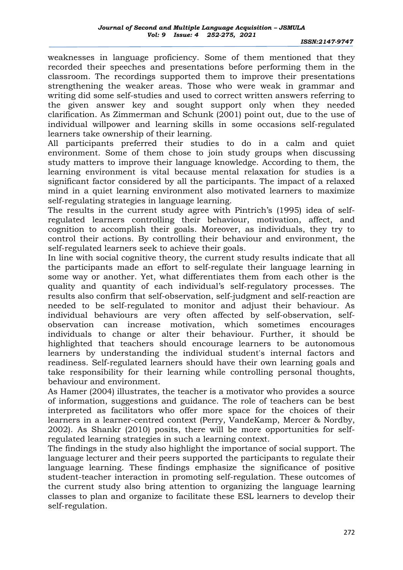weaknesses in language proficiency. Some of them mentioned that they recorded their speeches and presentations before performing them in the classroom. The recordings supported them to improve their presentations strengthening the weaker areas. Those who were weak in grammar and writing did some self-studies and used to correct written answers referring to the given answer key and sought support only when they needed clarification. As Zimmerman and Schunk (2001) point out, due to the use of individual willpower and learning skills in some occasions self-regulated learners take ownership of their learning.

All participants preferred their studies to do in a calm and quiet environment. Some of them chose to join study groups when discussing study matters to improve their language knowledge. According to them, the learning environment is vital because mental relaxation for studies is a significant factor considered by all the participants. The impact of a relaxed mind in a quiet learning environment also motivated learners to maximize self-regulating strategies in language learning.

The results in the current study agree with Pintrich's (1995) idea of selfregulated learners controlling their behaviour, motivation, affect, and cognition to accomplish their goals. Moreover, as individuals, they try to control their actions. By controlling their behaviour and environment, the self-regulated learners seek to achieve their goals.

In line with social cognitive theory, the current study results indicate that all the participants made an effort to self-regulate their language learning in some way or another. Yet, what differentiates them from each other is the quality and quantity of each individual's self-regulatory processes. The results also confirm that self-observation, self-judgment and self-reaction are needed to be self-regulated to monitor and adjust their behaviour. As individual behaviours are very often affected by self-observation, selfobservation can increase motivation, which sometimes encourages individuals to change or alter their behaviour. Further, it should be highlighted that teachers should encourage learners to be autonomous learners by understanding the individual student's internal factors and readiness. Self-regulated learners should have their own learning goals and take responsibility for their learning while controlling personal thoughts, behaviour and environment.

As Hamer (2004) illustrates, the teacher is a motivator who provides a source of information, suggestions and guidance. The role of teachers can be best interpreted as facilitators who offer more space for the choices of their learners in a learner-centred context (Perry, VandeKamp, Mercer & Nordby, 2002). As Shankr (2010) posits, there will be more opportunities for selfregulated learning strategies in such a learning context.

The findings in the study also highlight the importance of social support. The language lecturer and their peers supported the participants to regulate their language learning. These findings emphasize the significance of positive student-teacher interaction in promoting self-regulation. These outcomes of the current study also bring attention to organizing the language learning classes to plan and organize to facilitate these ESL learners to develop their self-regulation.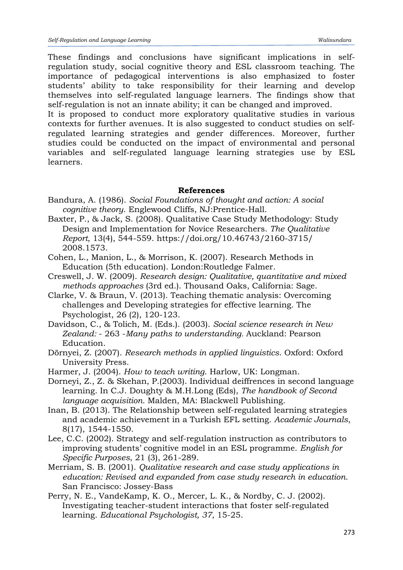These findings and conclusions have significant implications in selfregulation study, social cognitive theory and ESL classroom teaching. The importance of pedagogical interventions is also emphasized to foster students' ability to take responsibility for their learning and develop themselves into self-regulated language learners. The findings show that self-regulation is not an innate ability; it can be changed and improved.

It is proposed to conduct more exploratory qualitative studies in various contexts for further avenues. It is also suggested to conduct studies on selfregulated learning strategies and gender differences. Moreover, further studies could be conducted on the impact of environmental and personal variables and self-regulated language learning strategies use by ESL learners.

### **References**

- Bandura, A. (1986). *Social Foundations of thought and action: A social cognitive theory*. Englewood Cliffs, NJ:Prentice-Hall.
- Baxter, P., & Jack, S. (2008). Qualitative Case Study Methodology: Study Design and Implementation for Novice Researchers. *The Qualitative Report*, 13(4), 544-559. https://doi.org/10.46743/2160-3715/ 2008.1573.
- Cohen, L., Manion, L., & Morrison, K. (2007). Research Methods in Education (5th education). London:Routledge Falmer.
- Creswell, J. W. (2009). *Research design: Qualitative, quantitative and mixed methods approaches* (3rd ed.). Thousand Oaks, California: Sage.
- Clarke, V. & Braun, V. (2013). Teaching thematic analysis: Overcoming challenges and Developing strategies for effective learning. The Psychologist, 26 (2), 120-123.
- Davidson, C., & Tolich, M. (Eds.). (2003). *Social science research in New Zealand:* - 263 -*Many paths to understanding.* Auckland: Pearson Education.
- Dörnyei, Z. (2007). *Research methods in applied linguistics*. Oxford: Oxford University Press.
- Harmer, J. (2004). *How to teach writing*. Harlow, UK: Longman.
- Dorneyi, Z., Z. & Skehan, P.(2003). Individual deiffrences in second language learning. In C.J. Doughty & M.H.Long (Eds), *The handbook of Second language acquisition.* Malden, MA: Blackwell Publishing.
- Inan, B. (2013). The Relationship between self-regulated learning strategies and academic achievement in a Turkish EFL setting. *Academic Journals*, 8(17), 1544-1550.
- Lee, C.C. (2002). Strategy and self-regulation instruction as contributors to improving students' cognitive model in an ESL programme. *English for Specific Purposes*, 21 (3), 261-289.
- Merriam, S. B. (2001). *Qualitative research and case study applications in education: Revised and expanded from case study research in education*. San Francisco: Jossey-Bass
- Perry, N. E., VandeKamp, K. O., Mercer, L. K., & Nordby, C. J. (2002). Investigating teacher-student interactions that foster self-regulated learning. *Educational Psychologist, 37*, 15-25.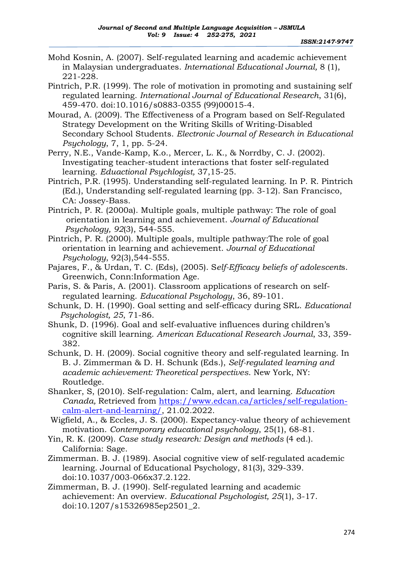- Mohd Kosnin, A. (2007). Self-regulated learning and academic achievement in Malaysian undergraduates. *International Educational Journal,* 8 (1), 221-228.
- Pintrich, P.R. (1999). The role of motivation in promoting and sustaining self regulated learning. *International Journal of Educational Research*, 31(6), 459-470. doi:10.1016/s0883-0355 (99)00015-4.
- Mourad, A. (2009). The Effectiveness of a Program based on Self-Regulated Strategy Development on the Writing Skills of Writing-Disabled Secondary School Students. *Electronic Journal of Research in Educational Psychology*, 7, 1, pp. 5-24.
- Perry, N.E., Vande-Kamp, K.o., Mercer, L. K., & Norrdby, C. J. (2002). Investigating teacher-student interactions that foster self-regulated learning. *Eduactional Psychlogist,* 37,15-25.
- Pintrich, P.R. (1995). Understanding self-regulated learning. In P. R. Pintrich (Ed.), Understanding self-regulated learning (pp. 3-12). San Francisco, CA: Jossey-Bass.
- Pintrich, P. R. (2000a). Multiple goals, multiple pathway: The role of goal orientation in learning and achievement. *Journal of Educational Psychology, 92*(3), 544-555.
- Pintrich, P. R. (2000). Multiple goals, multiple pathway:The role of goal orientation in learning and achievement. *Journal of Educational Psychology*, 92(3),544-555.
- Pajares, F., & Urdan, T. C. (Eds), (2005). S*elf-Efficacy beliefs of adolescent*s. Greenwich, Conn:Information Age.
- Paris, S. & Paris, A. (2001). Classroom applications of research on selfregulated learning. *Educational Psychology*, 36, 89-101.
- Schunk, D. H. (1990). Goal setting and self-efficacy during SRL. *Educational Psychologist, 25*, 71-86.
- Shunk, D. (1996). Goal and self-evaluative influences during children's cognitive skill learning. *American Educational Research Journal*, 33, 359- 382.
- Schunk, D. H. (2009). Social cognitive theory and self-regulated learning. In B. J. Zimmerman & D. H. Schunk (Eds.), *Self-regulated learning and academic achievement: Theoretical perspectives*. New York, NY: Routledge.
- Shanker, S, (2010). Self-regulation: Calm, alert, and learning. *Education Canada,* Retrieved from [https://www.edcan.ca/articles/self-regulation](https://www.edcan.ca/articles/self-regulation-calm-alert-and-learning/)[calm-alert-and-learning/,](https://www.edcan.ca/articles/self-regulation-calm-alert-and-learning/) 21.02.2022.
- Wigfield, A., & Eccles, J. S. (2000). Expectancy-value theory of achievement motivation. *Contemporary educational psychology*, 25(1), 68-81.
- Yin, R. K. (2009). *Case study research: Design and methods* (4 ed.). California: Sage.
- Zimmerman. B. J. (1989). Asocial cognitive view of self-regulated academic learning. Journal of Educational Psychology, 81(3), 329-339. doi:10.1037/003-066x37.2.122.
- Zimmerman, B. J. (1990). Self-regulated learning and academic achievement: An overview. *Educational Psychologist, 25*(1), 3-17. doi:10.1207/s15326985ep2501\_2.